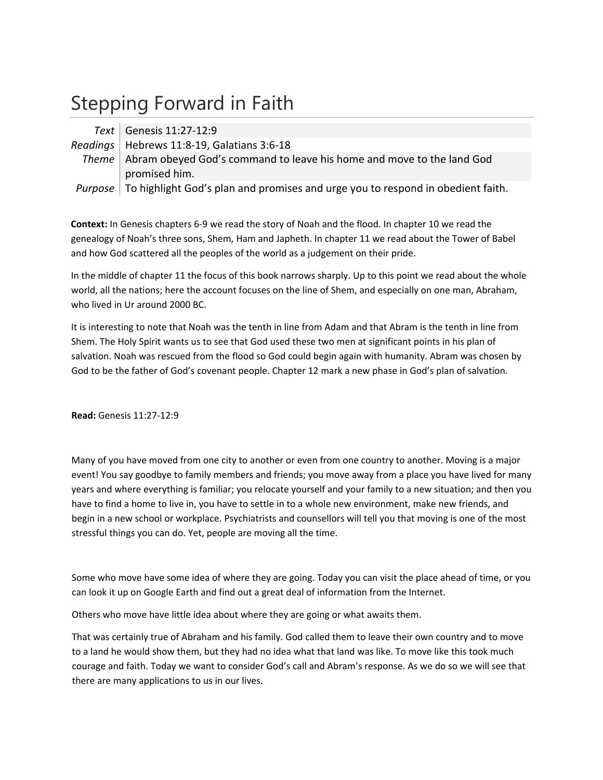# Stepping Forward in Faith

| Text   Genesis 11:27-12:9                                                                      |
|------------------------------------------------------------------------------------------------|
| Readings   Hebrews 11:8-19, Galatians 3:6-18                                                   |
| Theme   Abram obeyed God's command to leave his home and move to the land God                  |
| promised him.                                                                                  |
| <i>Purpose</i> To highlight God's plan and promises and urge you to respond in obedient faith. |

**Context:** In Genesis chapters 6‐9 we read the story of Noah and the flood. In chapter 10 we read the genealogy of Noah's three sons, Shem, Ham and Japheth. In chapter 11 we read about the Tower of Babel and how God scattered all the peoples of the world as a judgement on their pride.

In the middle of chapter 11 the focus of this book narrows sharply. Up to this point we read about the whole world, all the nations; here the account focuses on the line of Shem, and especially on one man, Abraham, who lived in Ur around 2000 BC.

It is interesting to note that Noah was the tenth in line from Adam and that Abram is the tenth in line from Shem. The Holy Spirit wants us to see that God used these two men at significant points in his plan of salvation. Noah was rescued from the flood so God could begin again with humanity. Abram was chosen by God to be the father of God's covenant people. Chapter 12 mark a new phase in God's plan of salvation.

**Read:** Genesis 11:27‐12:9

Many of you have moved from one city to another or even from one country to another. Moving is a major event! You say goodbye to family members and friends; you move away from a place you have lived for many years and where everything is familiar; you relocate yourself and your family to a new situation; and then you have to find a home to live in, you have to settle in to a whole new environment, make new friends, and begin in a new school or workplace. Psychiatrists and counsellors will tell you that moving is one of the most stressful things you can do. Yet, people are moving all the time.

Some who move have some idea of where they are going. Today you can visit the place ahead of time, or you can look it up on Google Earth and find out a great deal of information from the Internet.

Others who move have little idea about where they are going or what awaits them.

That was certainly true of Abraham and his family. God called them to leave their own country and to move to a land he would show them, but they had no idea what that land was like. To move like this took much courage and faith. Today we want to consider God's call and Abram's response. As we do so we will see that there are many applications to us in our lives.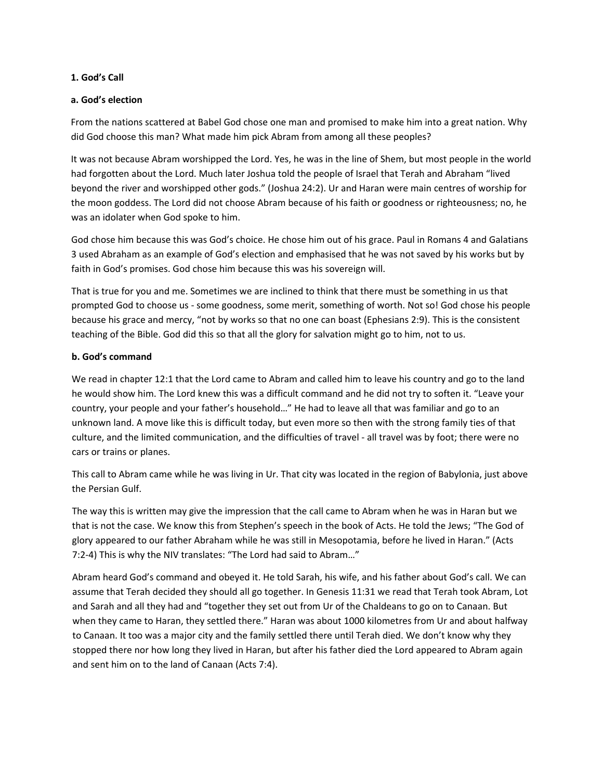#### **1. God's Call**

#### **a. God's election**

From the nations scattered at Babel God chose one man and promised to make him into a great nation. Why did God choose this man? What made him pick Abram from among all these peoples?

It was not because Abram worshipped the Lord. Yes, he was in the line of Shem, but most people in the world had forgotten about the Lord. Much later Joshua told the people of Israel that Terah and Abraham "lived beyond the river and worshipped other gods." (Joshua 24:2). Ur and Haran were main centres of worship for the moon goddess. The Lord did not choose Abram because of his faith or goodness or righteousness; no, he was an idolater when God spoke to him.

God chose him because this was God's choice. He chose him out of his grace. Paul in Romans 4 and Galatians 3 used Abraham as an example of God's election and emphasised that he was not saved by his works but by faith in God's promises. God chose him because this was his sovereign will.

That is true for you and me. Sometimes we are inclined to think that there must be something in us that prompted God to choose us ‐ some goodness, some merit, something of worth. Not so! God chose his people because his grace and mercy, "not by works so that no one can boast (Ephesians 2:9). This is the consistent teaching of the Bible. God did this so that all the glory for salvation might go to him, not to us.

## **b. God's command**

We read in chapter 12:1 that the Lord came to Abram and called him to leave his country and go to the land he would show him. The Lord knew this was a difficult command and he did not try to soften it. "Leave your country, your people and your father's household…" He had to leave all that was familiar and go to an unknown land. A move like this is difficult today, but even more so then with the strong family ties of that culture, and the limited communication, and the difficulties of travel ‐ all travel was by foot; there were no cars or trains or planes.

This call to Abram came while he was living in Ur. That city was located in the region of Babylonia, just above the Persian Gulf.

The way this is written may give the impression that the call came to Abram when he was in Haran but we that is not the case. We know this from Stephen's speech in the book of Acts. He told the Jews; "The God of glory appeared to our father Abraham while he was still in Mesopotamia, before he lived in Haran." (Acts 7:2‐4) This is why the NIV translates: "The Lord had said to Abram…"

Abram heard God's command and obeyed it. He told Sarah, his wife, and his father about God's call. We can assume that Terah decided they should all go together. In Genesis 11:31 we read that Terah took Abram, Lot and Sarah and all they had and "together they set out from Ur of the Chaldeans to go on to Canaan. But when they came to Haran, they settled there." Haran was about 1000 kilometres from Ur and about halfway to Canaan. It too was a major city and the family settled there until Terah died. We don't know why they stopped there nor how long they lived in Haran, but after his father died the Lord appeared to Abram again and sent him on to the land of Canaan (Acts 7:4).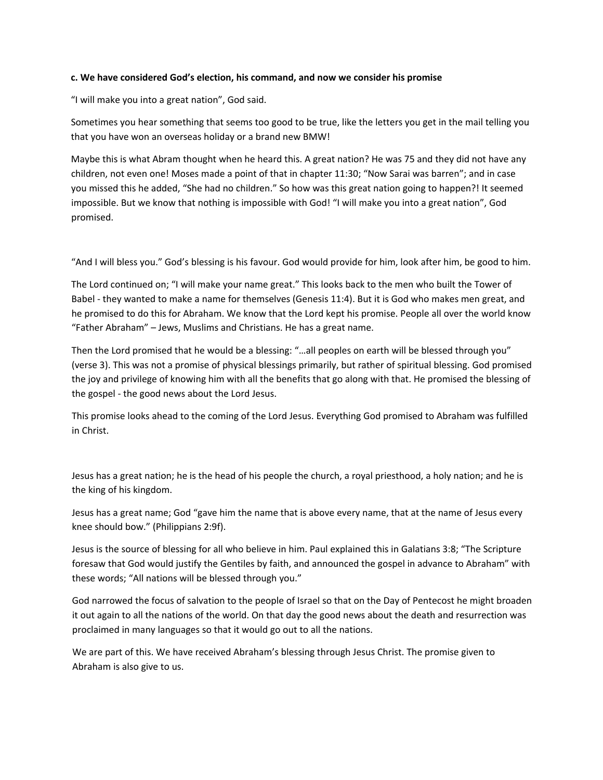#### **c. We have considered God's election, his command, and now we consider his promise**

"I will make you into a great nation", God said.

Sometimes you hear something that seems too good to be true, like the letters you get in the mail telling you that you have won an overseas holiday or a brand new BMW!

Maybe this is what Abram thought when he heard this. A great nation? He was 75 and they did not have any children, not even one! Moses made a point of that in chapter 11:30; "Now Sarai was barren"; and in case you missed this he added, "She had no children." So how was this great nation going to happen?! It seemed impossible. But we know that nothing is impossible with God! "I will make you into a great nation", God promised.

"And I will bless you." God's blessing is his favour. God would provide for him, look after him, be good to him.

The Lord continued on; "I will make your name great." This looks back to the men who built the Tower of Babel ‐ they wanted to make a name for themselves (Genesis 11:4). But it is God who makes men great, and he promised to do this for Abraham. We know that the Lord kept his promise. People all over the world know "Father Abraham" – Jews, Muslims and Christians. He has a great name.

Then the Lord promised that he would be a blessing: "…all peoples on earth will be blessed through you" (verse 3). This was not a promise of physical blessings primarily, but rather of spiritual blessing. God promised the joy and privilege of knowing him with all the benefits that go along with that. He promised the blessing of the gospel ‐ the good news about the Lord Jesus.

This promise looks ahead to the coming of the Lord Jesus. Everything God promised to Abraham was fulfilled in Christ.

Jesus has a great nation; he is the head of his people the church, a royal priesthood, a holy nation; and he is the king of his kingdom.

Jesus has a great name; God "gave him the name that is above every name, that at the name of Jesus every knee should bow." (Philippians 2:9f).

Jesus is the source of blessing for all who believe in him. Paul explained this in Galatians 3:8; "The Scripture foresaw that God would justify the Gentiles by faith, and announced the gospel in advance to Abraham" with these words; "All nations will be blessed through you."

God narrowed the focus of salvation to the people of Israel so that on the Day of Pentecost he might broaden it out again to all the nations of the world. On that day the good news about the death and resurrection was proclaimed in many languages so that it would go out to all the nations.

We are part of this. We have received Abraham's blessing through Jesus Christ. The promise given to Abraham is also give to us.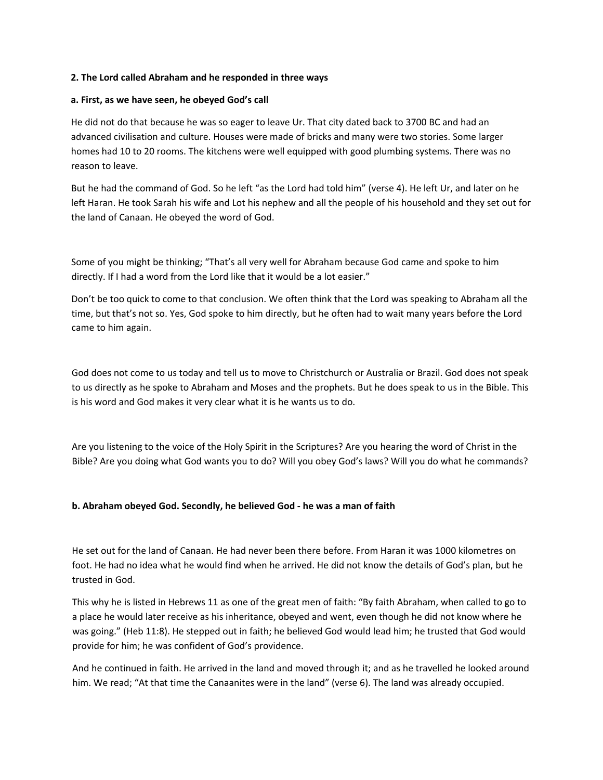#### **2. The Lord called Abraham and he responded in three ways**

#### **a. First, as we have seen, he obeyed God's call**

He did not do that because he was so eager to leave Ur. That city dated back to 3700 BC and had an advanced civilisation and culture. Houses were made of bricks and many were two stories. Some larger homes had 10 to 20 rooms. The kitchens were well equipped with good plumbing systems. There was no reason to leave.

But he had the command of God. So he left "as the Lord had told him" (verse 4). He left Ur, and later on he left Haran. He took Sarah his wife and Lot his nephew and all the people of his household and they set out for the land of Canaan. He obeyed the word of God.

Some of you might be thinking; "That's all very well for Abraham because God came and spoke to him directly. If I had a word from the Lord like that it would be a lot easier."

Don't be too quick to come to that conclusion. We often think that the Lord was speaking to Abraham all the time, but that's not so. Yes, God spoke to him directly, but he often had to wait many years before the Lord came to him again.

God does not come to us today and tell us to move to Christchurch or Australia or Brazil. God does not speak to us directly as he spoke to Abraham and Moses and the prophets. But he does speak to us in the Bible. This is his word and God makes it very clear what it is he wants us to do.

Are you listening to the voice of the Holy Spirit in the Scriptures? Are you hearing the word of Christ in the Bible? Are you doing what God wants you to do? Will you obey God's laws? Will you do what he commands?

## **b. Abraham obeyed God. Secondly, he believed God ‐ he was a man of faith**

He set out for the land of Canaan. He had never been there before. From Haran it was 1000 kilometres on foot. He had no idea what he would find when he arrived. He did not know the details of God's plan, but he trusted in God.

This why he is listed in Hebrews 11 as one of the great men of faith: "By faith Abraham, when called to go to a place he would later receive as his inheritance, obeyed and went, even though he did not know where he was going." (Heb 11:8). He stepped out in faith; he believed God would lead him; he trusted that God would provide for him; he was confident of God's providence.

And he continued in faith. He arrived in the land and moved through it; and as he travelled he looked around him. We read; "At that time the Canaanites were in the land" (verse 6). The land was already occupied.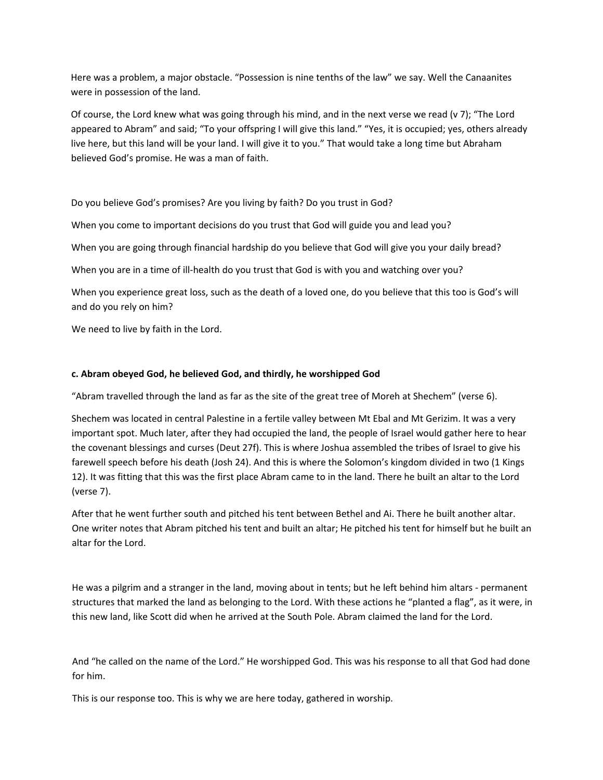Here was a problem, a major obstacle. "Possession is nine tenths of the law" we say. Well the Canaanites were in possession of the land.

Of course, the Lord knew what was going through his mind, and in the next verse we read (v 7); "The Lord appeared to Abram" and said; "To your offspring I will give this land." "Yes, it is occupied; yes, others already live here, but this land will be your land. I will give it to you." That would take a long time but Abraham believed God's promise. He was a man of faith.

Do you believe God's promises? Are you living by faith? Do you trust in God?

When you come to important decisions do you trust that God will guide you and lead you?

When you are going through financial hardship do you believe that God will give you your daily bread?

When you are in a time of ill-health do you trust that God is with you and watching over you?

When you experience great loss, such as the death of a loved one, do you believe that this too is God's will and do you rely on him?

We need to live by faith in the Lord.

### **c. Abram obeyed God, he believed God, and thirdly, he worshipped God**

"Abram travelled through the land as far as the site of the great tree of Moreh at Shechem" (verse 6).

Shechem was located in central Palestine in a fertile valley between Mt Ebal and Mt Gerizim. It was a very important spot. Much later, after they had occupied the land, the people of Israel would gather here to hear the covenant blessings and curses (Deut 27f). This is where Joshua assembled the tribes of Israel to give his farewell speech before his death (Josh 24). And this is where the Solomon's kingdom divided in two (1 Kings 12). It was fitting that this was the first place Abram came to in the land. There he built an altar to the Lord (verse 7).

After that he went further south and pitched his tent between Bethel and Ai. There he built another altar. One writer notes that Abram pitched his tent and built an altar; He pitched his tent for himself but he built an altar for the Lord.

He was a pilgrim and a stranger in the land, moving about in tents; but he left behind him altars ‐ permanent structures that marked the land as belonging to the Lord. With these actions he "planted a flag", as it were, in this new land, like Scott did when he arrived at the South Pole. Abram claimed the land for the Lord.

And "he called on the name of the Lord." He worshipped God. This was his response to all that God had done for him.

This is our response too. This is why we are here today, gathered in worship.